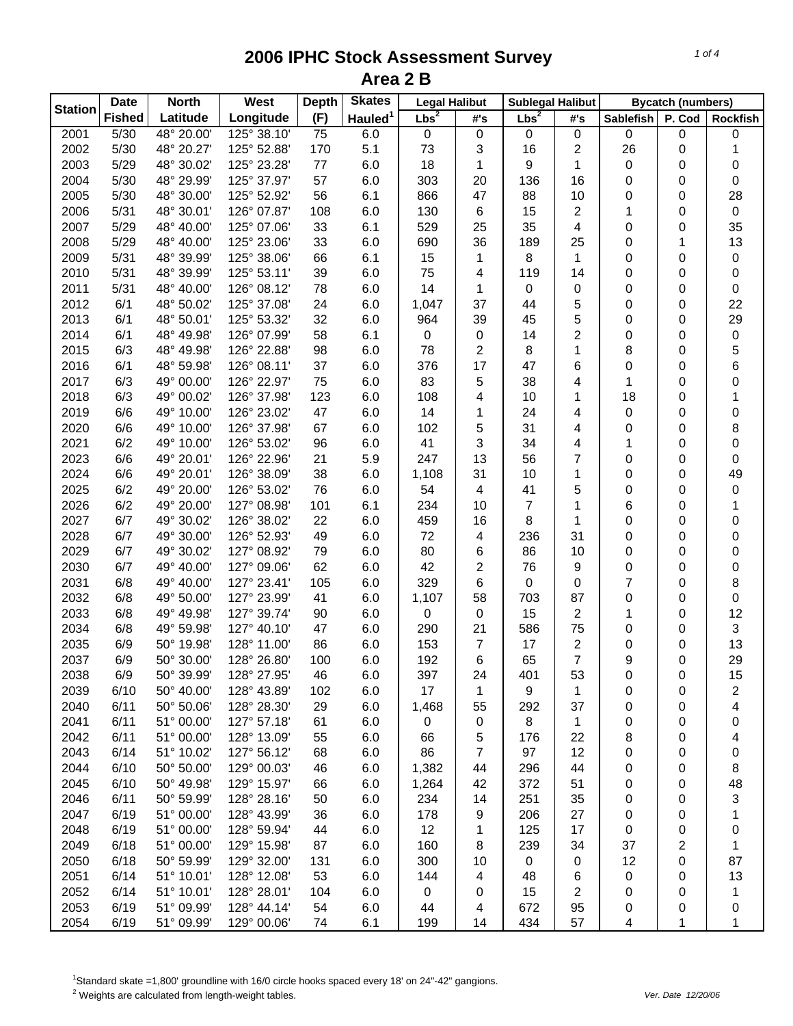| <b>Station</b> | <b>Date</b><br><b>North</b> |            | West        | <b>Skates</b><br><b>Depth</b> |                     | <b>Legal Halibut</b> |                | <b>Sublegal Halibut</b> |                | <b>Bycatch (numbers)</b> |        |                         |
|----------------|-----------------------------|------------|-------------|-------------------------------|---------------------|----------------------|----------------|-------------------------|----------------|--------------------------|--------|-------------------------|
|                | <b>Fished</b>               | Latitude   | Longitude   | (F)                           | Hauled <sup>1</sup> | $Lbs^2$              | #'s            | $Lbs^2$                 | #'s            | <b>Sablefish</b>         | P. Cod | <b>Rockfish</b>         |
| 2001           | 5/30                        | 48° 20.00' | 125° 38.10' | 75                            | 6.0                 | $\mathbf 0$          | 0              | 0                       | 0              | 0                        | 0      | 0                       |
| 2002           | 5/30                        | 48° 20.27' | 125° 52.88' | 170                           | 5.1                 | 73                   | 3              | 16                      | 2              | 26                       | 0      | 1                       |
| 2003           | 5/29                        | 48° 30.02' | 125° 23.28' | 77                            | 6.0                 | 18                   | 1              | 9                       | 1              | 0                        | 0      | 0                       |
| 2004           | 5/30                        | 48° 29.99' | 125° 37.97' | 57                            | 6.0                 | 303                  | 20             | 136                     | 16             | 0                        | 0      | $\pmb{0}$               |
| 2005           | 5/30                        | 48° 30.00' | 125° 52.92' | 56                            | 6.1                 | 866                  | 47             | 88                      | 10             | 0                        | 0      | 28                      |
| 2006           | 5/31                        | 48° 30.01' | 126° 07.87' | 108                           | 6.0                 | 130                  | 6              | 15                      | 2              | 1                        | 0      | $\mathbf 0$             |
| 2007           | 5/29                        | 48° 40.00' | 125° 07.06' | 33                            | 6.1                 | 529                  | 25             | 35                      | 4              | 0                        | 0      | 35                      |
| 2008           | 5/29                        | 48° 40.00' | 125° 23.06' | 33                            | 6.0                 | 690                  | 36             | 189                     | 25             | 0                        | 1      | 13                      |
| 2009           | 5/31                        | 48° 39.99' | 125° 38.06' | 66                            | 6.1                 | 15                   | 1              | 8                       | 1              | 0                        | 0      | $\,0\,$                 |
| 2010           | 5/31                        | 48° 39.99' | 125° 53.11' | 39                            | 6.0                 | 75                   | 4              | 119                     | 14             | 0                        | 0      | $\pmb{0}$               |
| 2011           | 5/31                        | 48° 40.00' | 126° 08.12' | 78                            | 6.0                 | 14                   | 1              | 0                       | 0              | 0                        | 0      | 0                       |
| 2012           | 6/1                         | 48° 50.02' | 125° 37.08' | 24                            | 6.0                 | 1,047                | 37             | 44                      | 5              | 0                        | 0      | 22                      |
| 2013           | 6/1                         | 48° 50.01' | 125° 53.32' | 32                            | 6.0                 | 964                  | 39             | 45                      | 5              | 0                        | 0      | 29                      |
| 2014           | 6/1                         | 48° 49.98' | 126° 07.99' | 58                            | 6.1                 | 0                    | 0              | 14                      | $\overline{c}$ | 0                        | 0      | $\pmb{0}$               |
| 2015           | 6/3                         | 48° 49.98' | 126° 22.88' | 98                            | 6.0                 | 78                   | 2              | 8                       | 1              | 8                        | 0      | 5                       |
| 2016           | 6/1                         | 48° 59.98' | 126° 08.11' | 37                            | 6.0                 | 376                  | 17             | 47                      | 6              | 0                        | 0      | 6                       |
| 2017           | 6/3                         | 49° 00.00' | 126° 22.97' | 75                            | 6.0                 | 83                   | 5              | 38                      | 4              | 1                        | 0      | 0                       |
| 2018           | 6/3                         | 49° 00.02' | 126° 37.98' | 123                           | 6.0                 | 108                  | 4              | 10                      | 1              | 18                       | 0      | 1                       |
| 2019           | 6/6                         | 49° 10.00' | 126° 23.02' | 47                            | 6.0                 | 14                   | 1              | 24                      | 4              | 0                        | 0      | 0                       |
| 2020           | 6/6                         | 49° 10.00' | 126° 37.98' | 67                            | 6.0                 | 102                  | 5              | 31                      | 4              | 0                        | 0      | 8                       |
| 2021           | 6/2                         | 49° 10.00' | 126° 53.02' | 96                            | 6.0                 | 41                   | 3              | 34                      | 4              | 1                        | 0      | 0                       |
| 2023           | 6/6                         | 49° 20.01' | 126° 22.96' | 21                            | 5.9                 | 247                  | 13             | 56                      | 7              | 0                        | 0      | 0                       |
| 2024           | 6/6                         | 49° 20.01' | 126° 38.09' | 38                            | 6.0                 | 1,108                | 31             | 10                      | 1              | 0                        | 0      | 49                      |
| 2025           | 6/2                         | 49° 20.00' | 126° 53.02' | 76                            | 6.0                 | 54                   | 4              | 41                      | 5              | 0                        | 0      | $\pmb{0}$               |
| 2026           | 6/2                         | 49° 20.00' | 127° 08.98' | 101                           | 6.1                 | 234                  | 10             | 7                       | 1              | 6                        | 0      | 1                       |
| 2027           | 6/7                         | 49° 30.02' | 126° 38.02' | 22                            | 6.0                 | 459                  | 16             | 8                       | 1              | 0                        | 0      | 0                       |
| 2028           | 6/7                         | 49° 30.00' | 126° 52.93' | 49                            | 6.0                 | 72                   | 4              | 236                     | 31             | 0                        | 0      | 0                       |
| 2029           | 6/7                         | 49° 30.02' | 127° 08.92' | 79                            | 6.0                 | 80                   | 6              | 86                      | 10             | 0                        | 0      | 0                       |
| 2030           | 6/7                         | 49° 40.00' | 127° 09.06' | 62                            | 6.0                 | 42                   | 2              | 76                      | 9              | 0                        | 0      | 0                       |
| 2031           | 6/8                         | 49° 40.00' | 127° 23.41' | 105                           | 6.0                 | 329                  | 6              | 0                       | 0              | 7                        | 0      | 8                       |
| 2032           | 6/8                         | 49° 50.00' | 127° 23.99' | 41                            | 6.0                 | 1,107                | 58             | 703                     | 87             | 0                        | 0      | $\mathbf 0$             |
| 2033           | 6/8                         | 49° 49.98' | 127° 39.74' | 90                            | 6.0                 | 0                    | $\mathbf 0$    | 15                      | 2              | 1                        | 0      | 12                      |
| 2034           | 6/8                         | 49° 59.98' | 127° 40.10' | 47                            | 6.0                 | 290                  | 21             | 586                     | 75             | 0                        | 0      | 3                       |
| 2035           | 6/9                         | 50° 19.98' | 128° 11.00' | 86                            | 6.0                 | 153                  | $\overline{7}$ | 17                      | 2              | 0                        | 0      | 13                      |
| 2037           | 6/9                         | 50° 30.00' | 128° 26.80' | 100                           | 6.0                 | 192                  | 6              | 65                      | $\overline{7}$ | 9                        | 0      | 29                      |
| 2038           | 6/9                         | 50° 39.99' | 128° 27.95' | 46                            | 6.0                 | 397                  | 24             | 401                     | 53             | 0                        | 0      | 15                      |
| 2039           | 6/10                        | 50° 40.00' | 128° 43.89' | 102                           | 6.0                 | 17                   | 1              | 9                       | 1              | 0                        | 0      | $\overline{\mathbf{c}}$ |
| 2040           | 6/11                        | 50° 50.06' | 128° 28.30' | 29                            | 6.0                 | 1,468                | 55             | 292                     | 37             | 0                        | 0      | 4                       |
| 2041           | 6/11                        | 51° 00.00' | 127° 57.18' | 61                            | 6.0                 | $\mathbf 0$          | 0              | 8                       | 1              | 0                        | 0      | 0                       |
| 2042           | 6/11                        | 51° 00.00' | 128° 13.09' | 55                            | 6.0                 | 66                   | 5              | 176                     | 22             | 8                        | 0      | 4                       |
| 2043           | 6/14                        | 51° 10.02' | 127° 56.12' | 68                            | 6.0                 | 86                   | $\overline{7}$ | 97                      | 12             | 0                        | 0      | 0                       |
| 2044           | 6/10                        | 50° 50.00' | 129° 00.03' | 46                            | 6.0                 | 1,382                | 44             | 296                     | 44             | 0                        | 0      | 8                       |
| 2045           | 6/10                        | 50° 49.98' | 129° 15.97' | 66                            | 6.0                 | 1,264                | 42             | 372                     | 51             | 0                        | 0      | 48                      |
| 2046           | 6/11                        | 50° 59.99' | 128° 28.16' | 50                            | 6.0                 | 234                  | 14             | 251                     | 35             | 0                        | 0      | 3                       |
| 2047           | 6/19                        | 51° 00.00' | 128° 43.99' | 36                            | 6.0                 | 178                  | 9              | 206                     | 27             | 0                        | 0      | $\mathbf{1}$            |
| 2048           | 6/19                        | 51° 00.00' | 128° 59.94' | 44                            | 6.0                 | 12                   | 1              | 125                     | 17             | 0                        | 0      | 0                       |
| 2049           | 6/18                        | 51° 00.00' | 129° 15.98' | 87                            | 6.0                 | 160                  | 8              | 239                     | 34             | 37                       | 2      | 1                       |
| 2050           | 6/18                        | 50° 59.99' | 129° 32.00' | 131                           | 6.0                 | 300                  | 10             | 0                       | 0              | 12                       | 0      | 87                      |
| 2051           | 6/14                        | 51° 10.01' | 128° 12.08' | 53                            | 6.0                 | 144                  | 4              | 48                      | 6              | 0                        | 0      | 13                      |
| 2052           | 6/14                        | 51° 10.01' | 128° 28.01' | 104                           | 6.0                 | 0                    | 0              | 15                      | 2              | 0                        | 0      | $\mathbf{1}$            |
| 2053           | 6/19                        | 51° 09.99' | 128° 44.14' | 54                            | 6.0                 | 44                   | 4              | 672                     | 95             | 0                        | 0      | $\pmb{0}$               |
| 2054           | 6/19                        | 51° 09.99' | 129° 00.06' | 74                            | 6.1                 | 199                  | 14             | 434                     | 57             | 4                        | 1      | 1                       |

<sup>1</sup>Standard skate =1,800' groundline with 16/0 circle hooks spaced every 18' on 24"-42" gangions.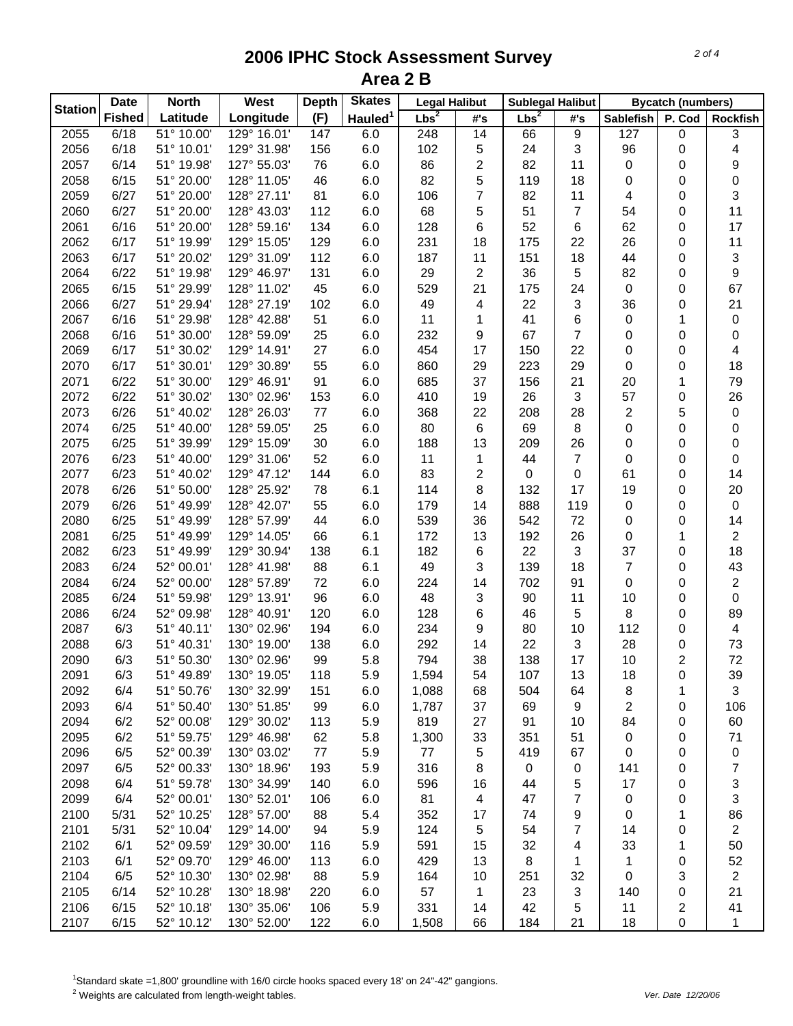|                | <b>Date</b>   | <b>North</b> | West        | <b>Depth</b> | <b>Skates</b>       | <b>Legal Halibut</b> |                | <b>Sublegal Halibut</b> |                |                  | <b>Bycatch (numbers)</b> |                           |
|----------------|---------------|--------------|-------------|--------------|---------------------|----------------------|----------------|-------------------------|----------------|------------------|--------------------------|---------------------------|
| <b>Station</b> | <b>Fished</b> | Latitude     | Longitude   | (F)          | Hauled <sup>1</sup> | $Lbs^2$              | #'s            | Lbs <sup>2</sup>        | #'s            | <b>Sablefish</b> | P. Cod                   | <b>Rockfish</b>           |
| 2055           | 6/18          | 51° 10.00'   | 129° 16.01' | 147          | 6.0                 | 248                  | 14             | 66                      | 9              | 127              | 0                        | 3                         |
| 2056           | 6/18          | 51° 10.01'   | 129° 31.98' | 156          | 6.0                 | 102                  | 5              | 24                      | 3              | 96               | 0                        | 4                         |
| 2057           | 6/14          | 51° 19.98'   | 127° 55.03' | 76           | 6.0                 | 86                   | $\overline{c}$ | 82                      | 11             | 0                | 0                        | 9                         |
| 2058           | 6/15          | 51° 20.00'   | 128° 11.05' | 46           | 6.0                 | 82                   | 5              | 119                     | 18             | 0                | 0                        | $\boldsymbol{0}$          |
| 2059           | 6/27          | 51° 20.00'   | 128° 27.11' | 81           | 6.0                 | 106                  | 7              | 82                      | 11             | 4                | 0                        | 3                         |
| 2060           | 6/27          | 51° 20.00'   | 128° 43.03' | 112          | 6.0                 | 68                   | 5              | 51                      | 7              | 54               | 0                        | 11                        |
| 2061           | 6/16          | 51° 20.00'   | 128° 59.16' | 134          | 6.0                 | 128                  | 6              | 52                      | 6              | 62               | 0                        | 17                        |
| 2062           | 6/17          | 51° 19.99'   | 129° 15.05' | 129          | 6.0                 | 231                  | 18             | 175                     | 22             | 26               | 0                        | 11                        |
| 2063           | 6/17          | 51° 20.02'   | 129° 31.09' | 112          | 6.0                 | 187                  | 11             | 151                     | 18             | 44               | 0                        | $\sqrt{3}$                |
| 2064           | 6/22          | 51° 19.98'   | 129° 46.97' | 131          | 6.0                 | 29                   | 2              | 36                      | 5              | 82               | 0                        | 9                         |
| 2065           | 6/15          | 51° 29.99'   | 128° 11.02' | 45           | 6.0                 | 529                  | 21             | 175                     | 24             | 0                | 0                        | 67                        |
| 2066           | 6/27          | 51° 29.94'   | 128° 27.19' | 102          | 6.0                 | 49                   | 4              | 22                      | 3              | 36               | 0                        | 21                        |
| 2067           | 6/16          | 51° 29.98'   | 128° 42.88' | 51           | 6.0                 | 11                   | 1              | 41                      | 6              | 0                | 1                        | 0                         |
| 2068           | 6/16          | 51° 30.00'   | 128° 59.09' | 25           | 6.0                 | 232                  | 9              | 67                      | 7              | 0                | 0                        | 0                         |
| 2069           | 6/17          | 51° 30.02'   | 129° 14.91' | 27           | 6.0                 | 454                  | 17             | 150                     | 22             | 0                | 0                        | $\overline{4}$            |
| 2070           | 6/17          | 51° 30.01'   | 129° 30.89' | 55           | 6.0                 | 860                  | 29             | 223                     | 29             | 0                | 0                        | 18                        |
| 2071           | 6/22          | 51° 30.00'   | 129° 46.91' | 91           | 6.0                 | 685                  | 37             | 156                     | 21             | 20               | 1                        | 79                        |
| 2072           | 6/22          | 51° 30.02'   | 130° 02.96' | 153          | 6.0                 | 410                  | 19             | 26                      | 3              | 57               | 0                        | 26                        |
| 2073           | 6/26          | 51° 40.02'   | 128° 26.03' | 77           | 6.0                 | 368                  | 22             | 208                     | 28             | 2                | 5                        | 0                         |
| 2074           | 6/25          | 51° 40.00'   | 128° 59.05' | 25           | 6.0                 | 80                   | 6              | 69                      | 8              | 0                | 0                        | 0                         |
| 2075           | 6/25          | 51° 39.99'   | 129° 15.09' | 30           | 6.0                 | 188                  | 13             | 209                     | 26             | 0                | 0                        | 0                         |
| 2076           | 6/23          | 51° 40.00'   | 129° 31.06' | 52           | 6.0                 | 11                   | 1              | 44                      | $\overline{7}$ | 0                | 0                        | 0                         |
| 2077           | 6/23          | 51° 40.02'   | 129° 47.12' | 144          | 6.0                 | 83                   | $\overline{c}$ | 0                       | 0              | 61               | 0                        | 14                        |
| 2078           | 6/26          | 51° 50.00'   | 128° 25.92' | 78           | 6.1                 | 114                  | 8              | 132                     | 17             | 19               | 0                        | 20                        |
| 2079           | 6/26          | 51° 49.99'   | 128° 42.07' | 55           | 6.0                 | 179                  | 14             | 888                     | 119            | 0                | 0                        | $\boldsymbol{0}$          |
| 2080           | 6/25          | 51° 49.99'   | 128° 57.99' | 44           | 6.0                 | 539                  | 36             | 542                     | 72             | 0                | 0                        | 14                        |
| 2081           | 6/25          | 51° 49.99'   | 129° 14.05' | 66           | 6.1                 | 172                  | 13             | 192                     | 26             | 0                | 1                        | $\overline{2}$            |
| 2082           | 6/23          | 51° 49.99'   | 129° 30.94' | 138          | 6.1                 | 182                  | 6              | 22                      | 3              | 37               | 0                        | 18                        |
| 2083           | 6/24          | 52° 00.01'   | 128° 41.98' | 88           | 6.1                 | 49                   | 3              | 139                     | 18             | $\overline{7}$   | 0                        | 43                        |
| 2084           | 6/24          | 52° 00.00'   | 128° 57.89' | 72           | 6.0                 | 224                  | 14             | 702                     | 91             | 0                | 0                        | $\boldsymbol{2}$          |
| 2085           | 6/24          | 51° 59.98'   | 129° 13.91' | 96           | 6.0                 | 48                   | 3              | 90                      | 11             | 10               | 0                        | $\pmb{0}$                 |
| 2086           | 6/24          | 52° 09.98'   | 128° 40.91' | 120          | 6.0                 | 128                  | 6              | 46                      | 5              | 8                | 0                        | 89                        |
| 2087           | 6/3           | 51° 40.11'   | 130° 02.96' | 194          | 6.0                 | 234                  | 9              | 80                      | 10             | 112              | 0                        | 4                         |
| 2088           | 6/3           | 51° 40.31'   | 130° 19.00' | 138          | 6.0                 | 292                  | 14             | 22                      | 3              | 28               | 0                        | 73                        |
| 2090           | 6/3           | 51° 50.30'   | 130° 02.96' | 99           | 5.8                 | 794                  | 38             | 138                     | 17             | 10               | 2                        | 72                        |
| 2091           | 6/3           | 51° 49.89'   | 130° 19.05' | 118          | 5.9                 | 1,594                | 54             | 107                     | 13             | 18               | 0                        | 39                        |
| 2092           | 6/4           | 51° 50.76'   | 130° 32.99' | 151          | 6.0                 | 1,088                | 68             | 504                     | 64             | 8                | 1                        | 3                         |
| 2093           | 6/4           | 51° 50.40'   | 130° 51.85' | 99           | 6.0                 | 1,787                | 37             | 69                      | 9              | 2                | 0                        | 106                       |
| 2094           | 6/2           | 52° 00.08'   | 129° 30.02' | 113          | 5.9                 | 819                  | 27             | 91                      | 10             | 84               | 0                        | 60                        |
| 2095           | 6/2           | 51° 59.75'   | 129° 46.98' | 62           | 5.8                 | 1,300                | 33             | 351                     | 51             | 0                | 0                        | 71                        |
| 2096           | 6/5           | 52° 00.39'   | 130° 03.02' | 77           | 5.9                 | 77                   | 5              | 419                     | 67             | 0                | 0                        | $\pmb{0}$                 |
| 2097           | 6/5           | 52° 00.33'   | 130° 18.96' | 193          | 5.9                 | 316                  | 8              | 0                       | 0              | 141              | 0                        | $\boldsymbol{7}$          |
| 2098           | 6/4           | 51° 59.78'   | 130° 34.99' | 140          | 6.0                 | 596                  | 16             | 44                      | 5              | 17               | 0                        | $\ensuremath{\mathsf{3}}$ |
| 2099           | 6/4           | 52° 00.01'   | 130° 52.01' | 106          | 6.0                 | 81                   | 4              | 47                      | $\overline{7}$ | 0                | 0                        | 3                         |
| 2100           | 5/31          | 52° 10.25'   | 128° 57.00' | 88           | 5.4                 | 352                  | 17             | 74                      | 9              | 0                | 1                        | 86                        |
| 2101           | 5/31          | 52° 10.04'   | 129° 14.00' | 94           | 5.9                 | 124                  | 5              | 54                      | $\overline{7}$ | 14               | 0                        | $\overline{c}$            |
| 2102           | 6/1           | 52° 09.59'   | 129° 30.00' | 116          | 5.9                 | 591                  | 15             | 32                      | 4              | 33               | 1                        | 50                        |
| 2103           | 6/1           | 52° 09.70'   | 129° 46.00' | 113          | 6.0                 | 429                  | 13             | 8                       | 1              | 1                | 0                        | 52                        |
| 2104           | 6/5           | 52° 10.30'   | 130° 02.98' | 88           | 5.9                 | 164                  | 10             | 251                     | 32             | 0                | 3                        | $\overline{2}$            |
| 2105           | 6/14          | 52° 10.28'   | 130° 18.98' | 220          | 6.0                 | 57                   | 1              | 23                      | 3              | 140              | 0                        | 21                        |
| 2106           | 6/15          | 52° 10.18'   | 130° 35.06' | 106          | 5.9                 | 331                  | 14             | 42                      | 5              | 11               | 2                        | 41                        |
| 2107           | 6/15          | 52° 10.12'   | 130° 52.00' | 122          | 6.0                 | 1,508                | 66             | 184                     | 21             | 18               | 0                        | 1                         |

<sup>1</sup>Standard skate =1,800' groundline with 16/0 circle hooks spaced every 18' on 24"-42" gangions.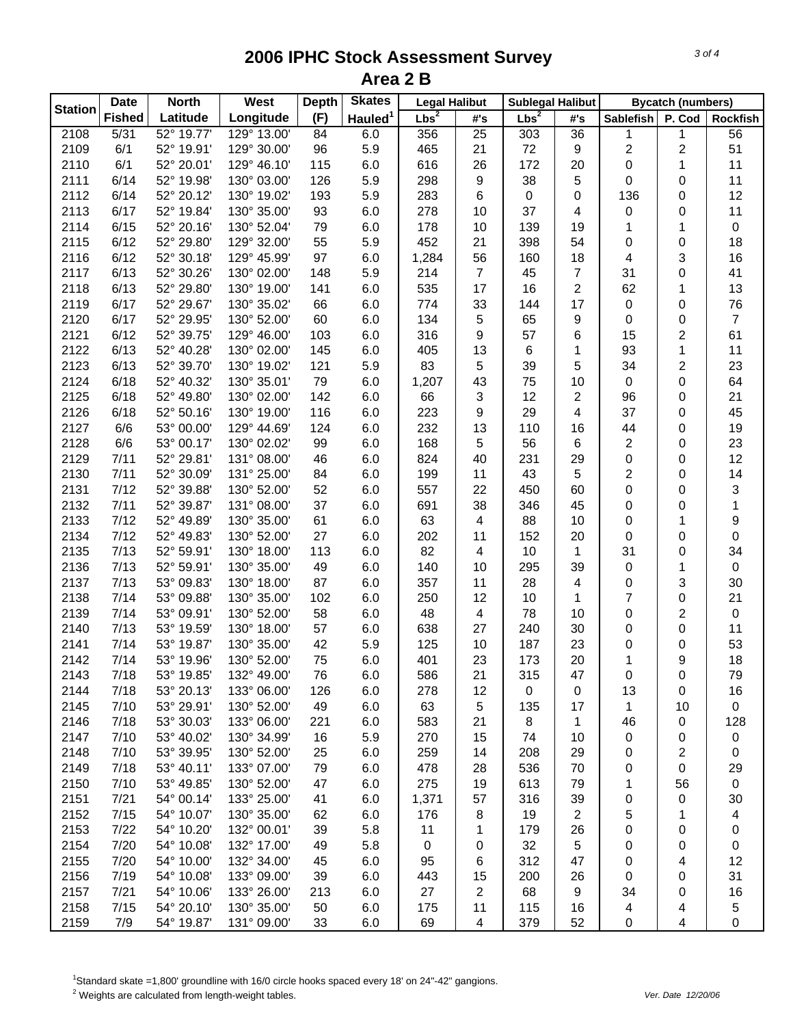|                | <b>Date</b>   | <b>North</b> | West        | <b>Depth</b> | <b>Skates</b>       | <b>Legal Halibut</b> |     | <b>Sublegal Halibut</b> |     | <b>Bycatch (numbers)</b> |        |                 |
|----------------|---------------|--------------|-------------|--------------|---------------------|----------------------|-----|-------------------------|-----|--------------------------|--------|-----------------|
| <b>Station</b> | <b>Fished</b> | Latitude     | Longitude   | (F)          | Hauled <sup>1</sup> | Lbs <sup>2</sup>     | #'s | $Lbs^2$                 | #'s | <b>Sablefish</b>         | P. Cod | <b>Rockfish</b> |
| 2108           | 5/31          | 52° 19.77'   | 129° 13.00' | 84           | 6.0                 | 356                  | 25  | 303                     | 36  | 1                        | 1      | 56              |
| 2109           | 6/1           | 52° 19.91'   | 129° 30.00' | 96           | 5.9                 | 465                  | 21  | 72                      | 9   | 2                        | 2      | 51              |
| 2110           | 6/1           | 52° 20.01'   | 129° 46.10' | 115          | 6.0                 | 616                  | 26  | 172                     | 20  | 0                        | 1      | 11              |
| 2111           | 6/14          | 52° 19.98'   | 130° 03.00' | 126          | 5.9                 | 298                  | 9   | 38                      | 5   | 0                        | 0      | 11              |
| 2112           | 6/14          | 52° 20.12'   | 130° 19.02' | 193          | 5.9                 | 283                  | 6   | 0                       | 0   | 136                      | 0      | 12              |
| 2113           | 6/17          | 52° 19.84'   | 130° 35.00' | 93           | 6.0                 | 278                  | 10  | 37                      | 4   | 0                        | 0      | 11              |
| 2114           | 6/15          | 52° 20.16'   | 130° 52.04' | 79           | 6.0                 | 178                  | 10  | 139                     | 19  | 1                        | 1      | $\mathbf 0$     |
| 2115           | 6/12          | 52° 29.80'   | 129° 32.00' | 55           | 5.9                 | 452                  | 21  | 398                     | 54  | 0                        | 0      | 18              |
| 2116           | 6/12          | 52° 30.18'   | 129° 45.99' | 97           | 6.0                 | 1,284                | 56  | 160                     | 18  | 4                        | 3      | 16              |
| 2117           | 6/13          | 52° 30.26'   | 130° 02.00' | 148          | 5.9                 | 214                  | 7   | 45                      | 7   | 31                       | 0      | 41              |
| 2118           | 6/13          | 52° 29.80'   | 130° 19.00' | 141          | 6.0                 | 535                  | 17  | 16                      | 2   | 62                       | 1      | 13              |
| 2119           | 6/17          | 52° 29.67'   | 130° 35.02' | 66           | 6.0                 | 774                  | 33  | 144                     | 17  | 0                        | 0      | 76              |
| 2120           | 6/17          | 52° 29.95'   | 130° 52.00' | 60           | 6.0                 | 134                  | 5   | 65                      | 9   | 0                        | 0      | $\overline{7}$  |
| 2121           | 6/12          | 52° 39.75'   | 129° 46.00' | 103          | 6.0                 | 316                  | 9   | 57                      | 6   | 15                       | 2      | 61              |
| 2122           | 6/13          | 52° 40.28'   | 130° 02.00' | 145          | 6.0                 | 405                  | 13  | 6                       | 1   | 93                       | 1      | 11              |
| 2123           | 6/13          | 52° 39.70'   | 130° 19.02' | 121          | 5.9                 | 83                   | 5   | 39                      | 5   | 34                       | 2      | 23              |
| 2124           | 6/18          | 52° 40.32'   | 130° 35.01' | 79           | 6.0                 | 1,207                | 43  | 75                      | 10  | 0                        | 0      | 64              |
| 2125           | 6/18          | 52° 49.80'   | 130° 02.00' | 142          | 6.0                 | 66                   | 3   | 12                      | 2   | 96                       | 0      | 21              |
| 2126           | 6/18          | 52° 50.16'   | 130° 19.00' | 116          | 6.0                 | 223                  | 9   | 29                      | 4   | 37                       | 0      | 45              |
| 2127           | 6/6           | 53° 00.00'   | 129° 44.69' | 124          | 6.0                 | 232                  | 13  | 110                     | 16  | 44                       | 0      | 19              |
| 2128           | 6/6           | 53° 00.17'   | 130° 02.02' | 99           | 6.0                 | 168                  | 5   | 56                      | 6   | 2                        | 0      | 23              |
| 2129           | 7/11          | 52° 29.81'   | 131° 08.00' | 46           | 6.0                 | 824                  | 40  | 231                     | 29  | $\mathbf 0$              | 0      | 12              |
| 2130           | 7/11          | 52° 30.09'   | 131° 25.00' | 84           | 6.0                 | 199                  | 11  | 43                      | 5   | 2                        | 0      | 14              |
| 2131           | 7/12          | 52° 39.88'   | 130° 52.00' | 52           | 6.0                 | 557                  | 22  | 450                     | 60  | 0                        | 0      | 3               |
| 2132           | 7/11          | 52° 39.87'   | 131° 08.00' | 37           | 6.0                 | 691                  | 38  | 346                     | 45  | 0                        | 0      | 1               |
| 2133           | 7/12          | 52° 49.89'   | 130° 35.00' | 61           | 6.0                 | 63                   | 4   | 88                      | 10  | 0                        | 1      | 9               |
| 2134           | 7/12          | 52° 49.83'   | 130° 52.00' | 27           | 6.0                 | 202                  | 11  | 152                     | 20  | 0                        | 0      | $\pmb{0}$       |
| 2135           | 7/13          | 52° 59.91'   | 130° 18.00' | 113          | 6.0                 | 82                   | 4   | 10                      | 1   | 31                       | 0      | 34              |
| 2136           | 7/13          | 52° 59.91'   | 130° 35.00' | 49           | 6.0                 | 140                  | 10  | 295                     | 39  | 0                        | 1      | $\mathbf 0$     |
| 2137           | 7/13          | 53° 09.83'   | 130° 18.00' | 87           | 6.0                 | 357                  | 11  | 28                      | 4   | 0                        | 3      | 30              |
| 2138           | 7/14          | 53° 09.88'   | 130° 35.00' | 102          | 6.0                 | 250                  | 12  | 10                      | 1   | 7                        | 0      | 21              |
| 2139           | 7/14          | 53° 09.91'   | 130° 52.00' | 58           | 6.0                 | 48                   | 4   | 78                      | 10  | 0                        | 2      | $\pmb{0}$       |
| 2140           | 7/13          | 53° 19.59'   | 130° 18.00' | 57           | 6.0                 | 638                  | 27  | 240                     | 30  | 0                        | 0      | 11              |
| 2141           | 7/14          | 53° 19.87'   | 130° 35.00' | 42           | 5.9                 | 125                  | 10  | 187                     | 23  | 0                        | 0      | 53              |
| 2142           | 7/14          | 53° 19.96'   | 130° 52.00' | 75           | 6.0                 | 401                  | 23  | 173                     | 20  | 1                        | 9      | 18              |
| 2143           | 7/18          | 53° 19.85'   | 132° 49.00' | 76           | 6.0                 | 586                  | 21  | 315                     | 47  | $\mathbf 0$              | 0      | 79              |
| 2144           | 7/18          | 53° 20.13'   | 133° 06.00' | 126          | 6.0                 | 278                  | 12  | 0                       | 0   | 13                       | 0      | 16              |
| 2145           | 7/10          | 53° 29.91'   | 130° 52.00' | 49           | 6.0                 | 63                   | 5   | 135                     | 17  | 1                        | 10     | 0               |
| 2146           | 7/18          | 53° 30.03'   | 133° 06.00' | 221          | 6.0                 | 583                  | 21  | 8                       | 1   | 46                       | 0      | 128             |
| 2147           | 7/10          | 53° 40.02'   | 130° 34.99' | 16           | 5.9                 | 270                  | 15  | 74                      | 10  | 0                        | 0      | $\pmb{0}$       |
| 2148           | 7/10          | 53° 39.95'   | 130° 52.00' | 25           | 6.0                 | 259                  | 14  | 208                     | 29  | 0                        | 2      | $\pmb{0}$       |
| 2149           | 7/18          | 53° 40.11'   | 133° 07.00' | 79           | 6.0                 | 478                  | 28  | 536                     | 70  | 0                        | 0      | 29              |
| 2150           | 7/10          | 53° 49.85'   | 130° 52.00' | 47           | 6.0                 | 275                  | 19  | 613                     | 79  | 1                        | 56     | $\pmb{0}$       |
| 2151           | 7/21          | 54° 00.14'   | 133° 25.00' | 41           | 6.0                 | 1,371                | 57  | 316                     | 39  | 0                        | 0      | 30              |
| 2152           | 7/15          | 54° 10.07'   | 130° 35.00' | 62           | 6.0                 | 176                  | 8   | 19                      | 2   | 5                        | 1      | 4               |
| 2153           | 7/22          | 54° 10.20'   | 132° 00.01' | 39           | 5.8                 | 11                   | 1   | 179                     | 26  | 0                        | 0      | 0               |
| 2154           | 7/20          | 54° 10.08'   | 132° 17.00' | 49           | 5.8                 | $\mathbf 0$          | 0   | 32                      | 5   | 0                        | 0      | 0               |
| 2155           | 7/20          | 54° 10.00'   | 132° 34.00' | 45           | 6.0                 | 95                   | 6   | 312                     | 47  | 0                        | 4      | 12              |
| 2156           | 7/19          | 54° 10.08'   | 133° 09.00' | 39           | 6.0                 | 443                  | 15  | 200                     | 26  | 0                        | 0      | 31              |
| 2157           | 7/21          | 54° 10.06'   | 133° 26.00' | 213          | 6.0                 | 27                   | 2   | 68                      | 9   | 34                       | 0      | 16              |
| 2158           | 7/15          | 54° 20.10'   | 130° 35.00' | 50           | 6.0                 | 175                  | 11  | 115                     | 16  | 4                        | 4      | 5               |
| 2159           | 7/9           | 54° 19.87'   | 131° 09.00' | 33           | 6.0                 | 69                   | 4   | 379                     | 52  | 0                        | 4      | 0               |

<sup>1</sup>Standard skate =1,800' groundline with 16/0 circle hooks spaced every 18' on 24"-42" gangions.